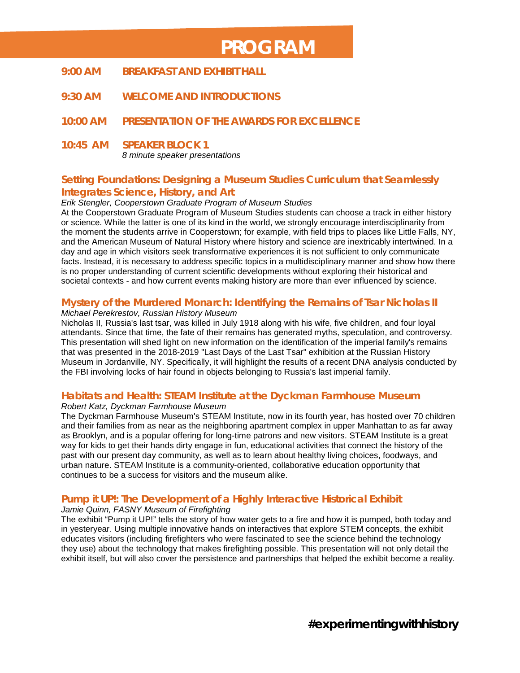# **PROGRAM**

- **9:00 AM BREAKFAST AND EXHIBIT HALL**
- **9:30 AM WELCOME AND INTRODUCTIONS**
- **10:00 AM PRESENTATION OF THE** *AWARDS FOR EXCELLENCE*
- **10:45 AM SPEAKER BLOCK 1** *8 minute speaker presentations*

# **Setting Foundations: Designing a Museum Studies Curriculum that Seamlessly Integrates Science, History, and Art**

#### *Erik Stengler, Cooperstown Graduate Program of Museum Studies*

At the Cooperstown Graduate Program of Museum Studies students can choose a track in either history or science. While the latter is one of its kind in the world, we strongly encourage interdisciplinarity from the moment the students arrive in Cooperstown; for example, with field trips to places like Little Falls, NY, and the American Museum of Natural History where history and science are inextricably intertwined. In a day and age in which visitors seek transformative experiences it is not sufficient to only communicate facts. Instead, it is necessary to address specific topics in a multidisciplinary manner and show how there is no proper understanding of current scientific developments without exploring their historical and societal contexts - and how current events making history are more than ever influenced by science.

#### **Mystery of the Murdered Monarch: Identifying the Remains of Tsar Nicholas II**

#### *Michael Perekrestov, Russian History Museum*

Nicholas II, Russia's last tsar, was killed in July 1918 along with his wife, five children, and four loyal attendants. Since that time, the fate of their remains has generated myths, speculation, and controversy. This presentation will shed light on new information on the identification of the imperial family's remains that was presented in the 2018-2019 "Last Days of the Last Tsar" exhibition at the Russian History Museum in Jordanville, NY. Specifically, it will highlight the results of a recent DNA analysis conducted by the FBI involving locks of hair found in objects belonging to Russia's last imperial family.

# **Habitats and Health: STEAM Institute at the Dyckman Farmhouse Museum**

*Robert Katz, Dyckman Farmhouse Museum*

The Dyckman Farmhouse Museum's STEAM Institute, now in its fourth year, has hosted over 70 children and their families from as near as the neighboring apartment complex in upper Manhattan to as far away as Brooklyn, and is a popular offering for long-time patrons and new visitors. STEAM Institute is a great way for kids to get their hands dirty engage in fun, educational activities that connect the history of the past with our present day community, as well as to learn about healthy living choices, foodways, and urban nature. STEAM Institute is a community-oriented, collaborative education opportunity that continues to be a success for visitors and the museum alike.

# **Pump it UP!: The Development of a Highly Interactive Historical Exhibit**

#### *Jamie Quinn, FASNY Museum of Firefighting*

The exhibit "Pump it UP!" tells the story of how water gets to a fire and how it is pumped, both today and in yesteryear. Using multiple innovative hands on interactives that explore STEM concepts, the exhibit educates visitors (including firefighters who were fascinated to see the science behind the technology they use) about the technology that makes firefighting possible. This presentation will not only detail the exhibit itself, but will also cover the persistence and partnerships that helped the exhibit become a reality.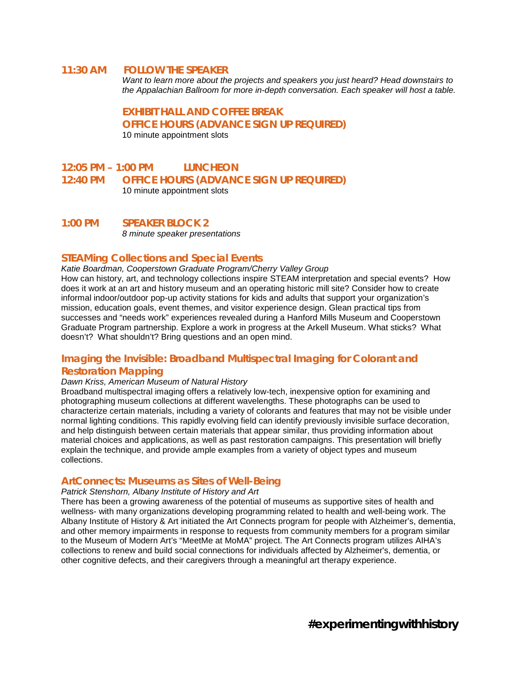#### **11:30 AM FOLLOW THE SPEAKER**

*Want to learn more about the projects and speakers you just heard? Head downstairs to the Appalachian Ballroom for more in-depth conversation. Each speaker will host a table.*

**EXHIBIT HALL AND COFFEE BREAK**

**OFFICE HOURS (ADVANCE SIGN UP REQUIRED)**

10 minute appointment slots

#### **12:05 PM – 1:00 PM LUNCHEON 12:40 PM OFFICE HOURS (ADVANCE SIGN UP REQUIRED)** 10 minute appointment slots

**1:00 PM SPEAKER BLOCK 2** *8 minute speaker presentations*

#### **STEAMing Collections and Special Events**

*Katie Boardman, Cooperstown Graduate Program/Cherry Valley Group* How can history, art, and technology collections inspire STEAM interpretation and special events? How does it work at an art and history museum and an operating historic mill site? Consider how to create informal indoor/outdoor pop-up activity stations for kids and adults that support your organization's mission, education goals, event themes, and visitor experience design. Glean practical tips from successes and "needs work" experiences revealed during a Hanford Mills Museum and Cooperstown Graduate Program partnership. Explore a work in progress at the Arkell Museum. What sticks? What doesn't? What shouldn't? Bring questions and an open mind.

# **Imaging the Invisible: Broadband Multispectral Imaging for Colorant and**

#### **Restoration Mapping**

#### *Dawn Kriss, American Museum of Natural History*

Broadband multispectral imaging offers a relatively low-tech, inexpensive option for examining and photographing museum collections at different wavelengths. These photographs can be used to characterize certain materials, including a variety of colorants and features that may not be visible under normal lighting conditions. This rapidly evolving field can identify previously invisible surface decoration, and help distinguish between certain materials that appear similar, thus providing information about material choices and applications, as well as past restoration campaigns. This presentation will briefly explain the technique, and provide ample examples from a variety of object types and museum collections.

#### **ArtConnects: Museums as Sites of Well-Being**

#### *Patrick Stenshorn, Albany Institute of History and Art*

There has been a growing awareness of the potential of museums as supportive sites of health and wellness- with many organizations developing programming related to health and well-being work. The Albany Institute of History & Art initiated the Art Connects program for people with Alzheimer's, dementia, and other memory impairments in response to requests from community members for a program similar to the Museum of Modern Art's "MeetMe at MoMA" project. The Art Connects program utilizes AIHA's collections to renew and build social connections for individuals affected by Alzheimer's, dementia, or other cognitive defects, and their caregivers through a meaningful art therapy experience.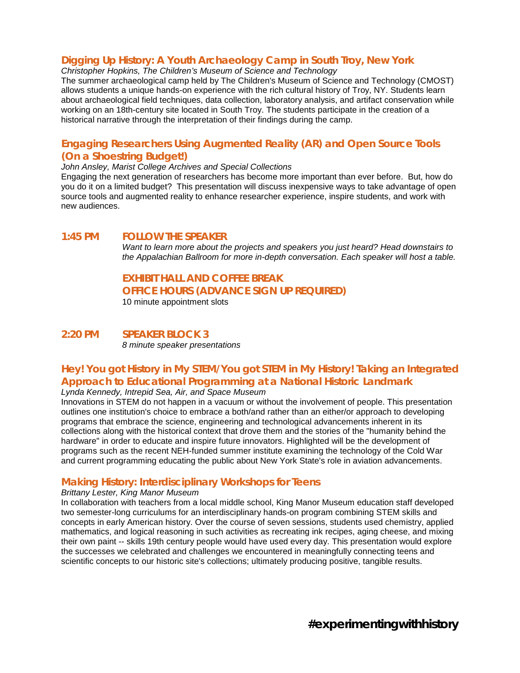# **Digging Up History: A Youth Archaeology Camp in South Troy, New York**

*Christopher Hopkins, The Children's Museum of Science and Technology*

The summer archaeological camp held by The Children's Museum of Science and Technology (CMOST) allows students a unique hands-on experience with the rich cultural history of Troy, NY. Students learn about archaeological field techniques, data collection, laboratory analysis, and artifact conservation while working on an 18th-century site located in South Troy. The students participate in the creation of a historical narrative through the interpretation of their findings during the camp.

# **Engaging Researchers Using Augmented Reality (AR) and Open Source Tools (On a Shoestring Budget!)**

#### *John Ansley, Marist College Archives and Special Collections*

Engaging the next generation of researchers has become more important than ever before. But, how do you do it on a limited budget? This presentation will discuss inexpensive ways to take advantage of open source tools and augmented reality to enhance researcher experience, inspire students, and work with new audiences.

#### **1:45 PM FOLLOW THE SPEAKER**

*Want to learn more about the projects and speakers you just heard? Head downstairs to the Appalachian Ballroom for more in-depth conversation. Each speaker will host a table.*

#### **EXHIBIT HALL AND COFFEE BREAK**

**OFFICE HOURS (ADVANCE SIGN UP REQUIRED)**

10 minute appointment slots

#### **2:20 PM SPEAKER BLOCK 3** *8 minute speaker presentations*

# **Hey! You got History in My STEM/You got STEM in My History! Taking an Integrated Approach to Educational Programming at a National Historic Landmark**

*Lynda Kennedy, Intrepid Sea, Air, and Space Museum*

Innovations in STEM do not happen in a vacuum or without the involvement of people. This presentation outlines one institution's choice to embrace a both/and rather than an either/or approach to developing programs that embrace the science, engineering and technological advancements inherent in its collections along with the historical context that drove them and the stories of the "humanity behind the hardware" in order to educate and inspire future innovators. Highlighted will be the development of programs such as the recent NEH-funded summer institute examining the technology of the Cold War and current programming educating the public about New York State's role in aviation advancements.

### **Making History: Interdisciplinary Workshops for Teens**

#### *Brittany Lester, King Manor Museum*

In collaboration with teachers from a local middle school, King Manor Museum education staff developed two semester-long curriculums for an interdisciplinary hands-on program combining STEM skills and concepts in early American history. Over the course of seven sessions, students used chemistry, applied mathematics, and logical reasoning in such activities as recreating ink recipes, aging cheese, and mixing their own paint -- skills 19th century people would have used every day. This presentation would explore the successes we celebrated and challenges we encountered in meaningfully connecting teens and scientific concepts to our historic site's collections; ultimately producing positive, tangible results.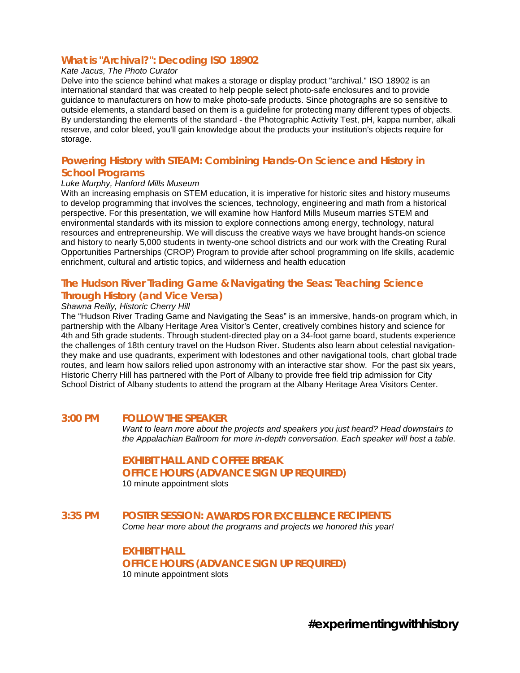# **What is "Archival?": Decoding ISO 18902**

#### *Kate Jacus, The Photo Curator*

Delve into the science behind what makes a storage or display product "archival." ISO 18902 is an international standard that was created to help people select photo-safe enclosures and to provide guidance to manufacturers on how to make photo-safe products. Since photographs are so sensitive to outside elements, a standard based on them is a guideline for protecting many different types of objects. By understanding the elements of the standard - the Photographic Activity Test, pH, kappa number, alkali reserve, and color bleed, you'll gain knowledge about the products your institution's objects require for storage.

### **Powering History with STEAM: Combining Hands-On Science and History in School Programs**

#### *Luke Murphy, Hanford Mills Museum*

With an increasing emphasis on STEM education, it is imperative for historic sites and history museums to develop programming that involves the sciences, technology, engineering and math from a historical perspective. For this presentation, we will examine how Hanford Mills Museum marries STEM and environmental standards with its mission to explore connections among energy, technology, natural resources and entrepreneurship. We will discuss the creative ways we have brought hands-on science and history to nearly 5,000 students in twenty-one school districts and our work with the Creating Rural Opportunities Partnerships (CROP) Program to provide after school programming on life skills, academic enrichment, cultural and artistic topics, and wilderness and health education

# **The Hudson River Trading Game & Navigating the Seas: Teaching Science Through History (and Vice Versa)**

#### *Shawna Reilly, Historic Cherry Hill*

The "Hudson River Trading Game and Navigating the Seas" is an immersive, hands-on program which, in partnership with the Albany Heritage Area Visitor's Center, creatively combines history and science for 4th and 5th grade students. Through student-directed play on a 34-foot game board, students experience the challenges of 18th century travel on the Hudson River. Students also learn about celestial navigationthey make and use quadrants, experiment with lodestones and other navigational tools, chart global trade routes, and learn how sailors relied upon astronomy with an interactive star show. For the past six years, Historic Cherry Hill has partnered with the Port of Albany to provide free field trip admission for City School District of Albany students to attend the program at the Albany Heritage Area Visitors Center.

#### **3:00 PM FOLLOW THE SPEAKER**

*Want to learn more about the projects and speakers you just heard? Head downstairs to the Appalachian Ballroom for more in-depth conversation. Each speaker will host a table.*

#### **EXHIBIT HALL AND COFFEE BREAK OFFICE HOURS (ADVANCE SIGN UP REQUIRED)** 10 minute appointment slots

#### **3:35 PM POSTER SESSION:** *AWARDS FOR EXCELLENCE* **RECIPIENTS** *Come hear more about the programs and projects we honored this year!*

**EXHIBIT HALL OFFICE HOURS (ADVANCE SIGN UP REQUIRED)** 10 minute appointment slots